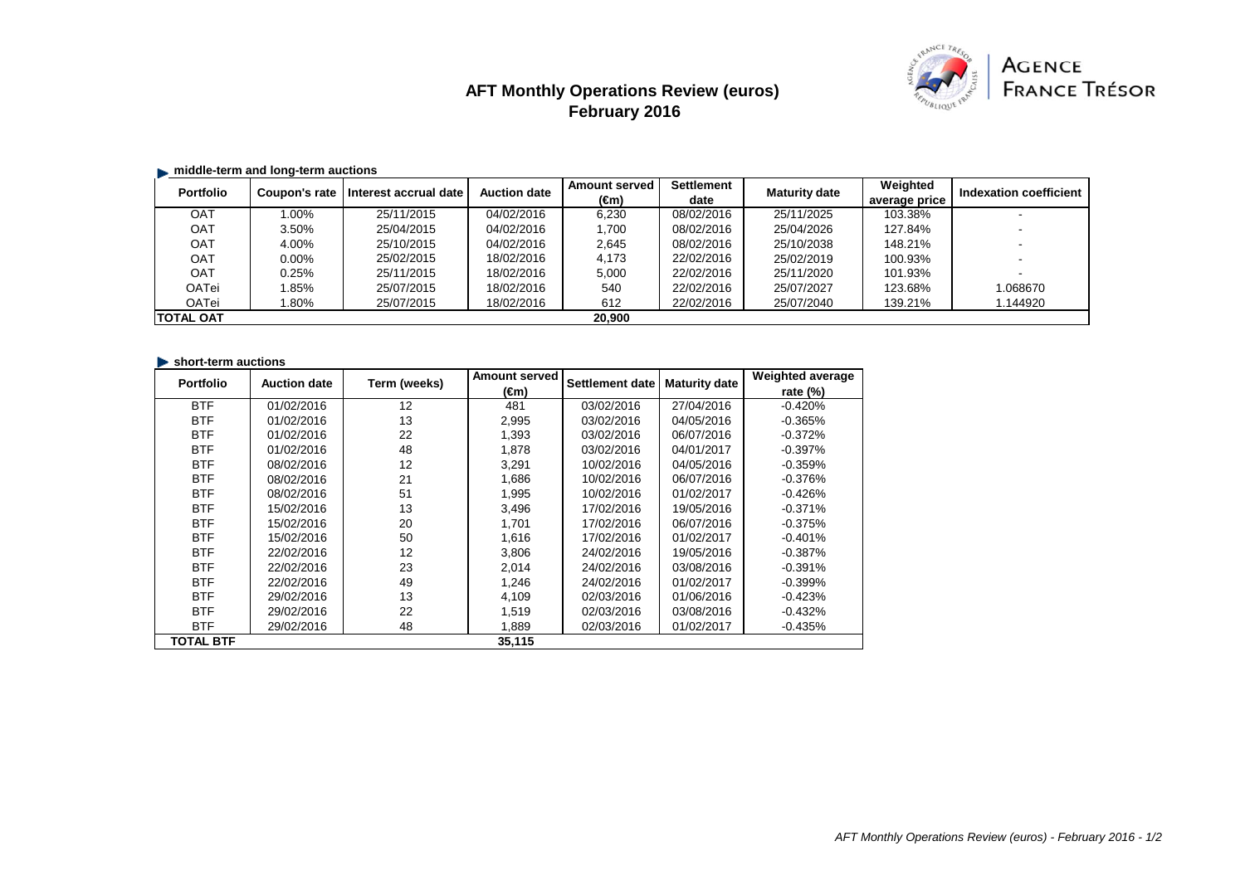# **AFT Monthly Operations Review (euros) February 2016**



## **middle-term and long-term auctions**

| <b>Portfolio</b> | Coupon's rate | Interest accrual date | <b>Auction date</b> | <b>Amount served</b><br>(€m) | <b>Settlement</b><br>date | <b>Maturity date</b> | Weighted<br>average price | Indexation coefficient |
|------------------|---------------|-----------------------|---------------------|------------------------------|---------------------------|----------------------|---------------------------|------------------------|
| <b>OAT</b>       | $0.00\%$      | 25/11/2015            | 04/02/2016          | 6.230                        | 08/02/2016                | 25/11/2025           | 103.38%                   |                        |
| <b>OAT</b>       | 3.50%         | 25/04/2015            | 04/02/2016          | 1,700                        | 08/02/2016                | 25/04/2026           | 127.84%                   |                        |
| OAT              | 4.00%         | 25/10/2015            | 04/02/2016          | 2,645                        | 08/02/2016                | 25/10/2038           | 148.21%                   |                        |
| <b>OAT</b>       | $0.00\%$      | 25/02/2015            | 18/02/2016          | 4.173                        | 22/02/2016                | 25/02/2019           | 100.93%                   |                        |
| OAT              | 0.25%         | 25/11/2015            | 18/02/2016          | 5,000                        | 22/02/2016                | 25/11/2020           | 101.93%                   |                        |
| OATei            | .85%          | 25/07/2015            | 18/02/2016          | 540                          | 22/02/2016                | 25/07/2027           | 123.68%                   | 1.068670               |
| OATei            | $.80\%$       | 25/07/2015            | 18/02/2016          | 612                          | 22/02/2016                | 25/07/2040           | 139.21%                   | .144920                |
| <b>TOTAL OAT</b> |               |                       |                     | 20.900                       |                           |                      |                           |                        |

#### **short-term auctions**

| <b>Portfolio</b> | <b>Auction date</b> | Term (weeks) | <b>Amount served</b> | Settlement date | <b>Maturity date</b> | <b>Weighted average</b> |
|------------------|---------------------|--------------|----------------------|-----------------|----------------------|-------------------------|
|                  |                     |              | (€m)                 |                 |                      | rate $(\%)$             |
| <b>BTF</b>       | 01/02/2016          | 12           | 481                  | 03/02/2016      | 27/04/2016           | $-0.420%$               |
| <b>BTF</b>       | 01/02/2016          | 13           | 2,995                | 03/02/2016      | 04/05/2016           | $-0.365%$               |
| <b>BTF</b>       | 01/02/2016          | 22           | 1.393                | 03/02/2016      | 06/07/2016           | $-0.372%$               |
| <b>BTF</b>       | 01/02/2016          | 48           | 1,878                | 03/02/2016      | 04/01/2017           | $-0.397%$               |
| <b>BTF</b>       | 08/02/2016          | 12           | 3,291                | 10/02/2016      | 04/05/2016           | $-0.359%$               |
| <b>BTF</b>       | 08/02/2016          | 21           | 1.686                | 10/02/2016      | 06/07/2016           | $-0.376%$               |
| <b>BTF</b>       | 08/02/2016          | 51           | 1,995                | 10/02/2016      | 01/02/2017           | $-0.426%$               |
| <b>BTF</b>       | 15/02/2016          | 13           | 3,496                | 17/02/2016      | 19/05/2016           | $-0.371%$               |
| <b>BTF</b>       | 15/02/2016          | 20           | 1,701                | 17/02/2016      | 06/07/2016           | $-0.375\%$              |
| <b>BTF</b>       | 15/02/2016          | 50           | 1,616                | 17/02/2016      | 01/02/2017           | $-0.401\%$              |
| <b>BTF</b>       | 22/02/2016          | 12           | 3,806                | 24/02/2016      | 19/05/2016           | $-0.387%$               |
| <b>BTF</b>       | 22/02/2016          | 23           | 2.014                | 24/02/2016      | 03/08/2016           | $-0.391\%$              |
| <b>BTF</b>       | 22/02/2016          | 49           | 1,246                | 24/02/2016      | 01/02/2017           | $-0.399%$               |
| <b>BTF</b>       | 29/02/2016          | 13           | 4,109                | 02/03/2016      | 01/06/2016           | $-0.423%$               |
| <b>BTF</b>       | 29/02/2016          | 22           | 1,519                | 02/03/2016      | 03/08/2016           | $-0.432%$               |
| <b>BTF</b>       | 29/02/2016          | 48           | 1,889                | 02/03/2016      | 01/02/2017           | $-0.435%$               |
| TOTAL BTF        |                     |              | 35,115               |                 |                      |                         |